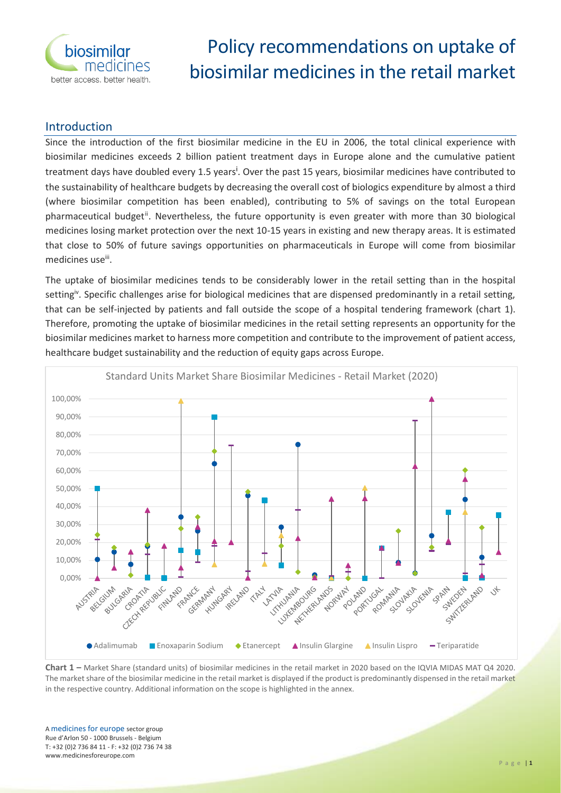

# Policy recommendations on uptake of biosimilar medicines in the retail market

## Introduction

Since the introduction of the first biosimilar medicine in the EU in 2006, the total clinical experience with biosimilar medicines exceeds 2 billion patient treatment days in Europe alone and the cumulative patient treatment days have doubled every 1.5 years<sup>i</sup>. Over the past 15 years, biosimilar medicines have contributed to the sustainability of healthcare budgets by decreasing the overall cost of biologics expenditure by almost a third (where biosimilar competition has been enabled), contributing to 5% of savings on the total European pharmaceutical budget<sup>ii</sup>. Nevertheless, the future opportunity is even greater with more than 30 biological medicines losing market protection over the next 10-15 years in existing and new therapy areas. It is estimated that close to 50% of future savings opportunities on pharmaceuticals in Europe will come from biosimilar medicines use<sup>iii</sup>.

The uptake of biosimilar medicines tends to be considerably lower in the retail setting than in the hospital setting<sup>iv</sup>. Specific challenges arise for biological medicines that are dispensed predominantly in a retail setting, that can be self-injected by patients and fall outside the scope of a hospital tendering framework (chart 1). Therefore, promoting the uptake of biosimilar medicines in the retail setting represents an opportunity for the biosimilar medicines market to harness more competition and contribute to the improvement of patient access, healthcare budget sustainability and the reduction of equity gaps across Europe.



**Chart 1 –** Market Share (standard units) of biosimilar medicines in the retail market in 2020 based on the IQVIA MIDAS MAT Q4 2020. The market share of the biosimilar medicine in the retail market is displayed if the product is predominantly dispensed in the retail market in the respective country. Additional information on the scope is highlighted in the annex.

A medicines for europe sector group Rue d'Arlon 50 - 1000 Brussels - Belgium T: +32 (0)2 736 84 11 - F: +32 (0)2 736 74 38 www.medicinesforeurope.com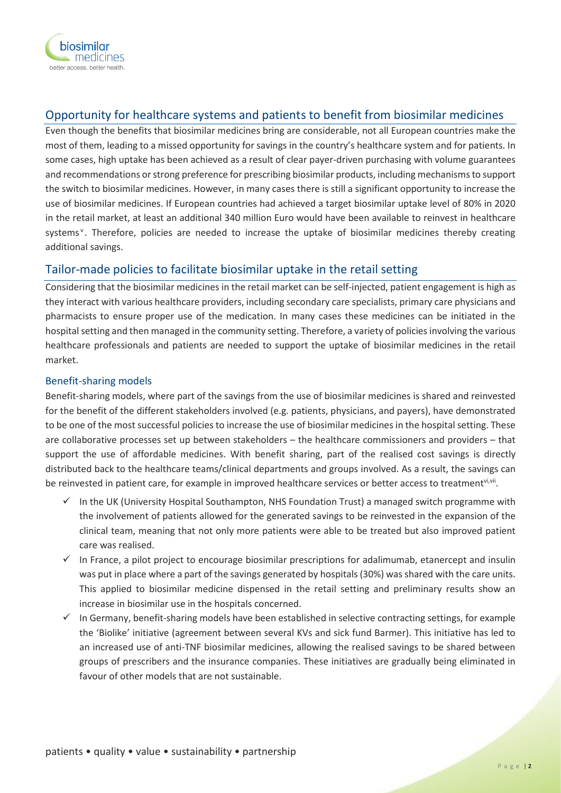

# Opportunity for healthcare systems and patients to benefit from biosimilar medicines

Even though the benefits that biosimilar medicines bring are considerable, not all European countries make the most of them, leading to a missed opportunity for savings in the country's healthcare system and for patients. In some cases, high uptake has been achieved as a result of clear payer-driven purchasing with volume guarantees and recommendations or strong preference for prescribing biosimilar products, including mechanisms to support the switch to biosimilar medicines. However, in many cases there is still a significant opportunity to increase the use of biosimilar medicines. If European countries had achieved a target biosimilar uptake level of 80% in 2020 in the retail market, at least an additional 340 million Euro would have been available to reinvest in healthcare systems<sup>v</sup>. Therefore, policies are needed to increase the uptake of biosimilar medicines thereby creating additional savings.

# Tailor-made policies to facilitate biosimilar uptake in the retail setting

Considering that the biosimilar medicines in the retail market can be self-injected, patient engagement is high as they interact with various healthcare providers, including secondary care specialists, primary care physicians and pharmacists to ensure proper use of the medication. In many cases these medicines can be initiated in the hospital setting and then managed in the community setting. Therefore, a variety of policies involving the various healthcare professionals and patients are needed to support the uptake of biosimilar medicines in the retail market.

#### Benefit-sharing models

Benefit-sharing models, where part of the savings from the use of biosimilar medicines is shared and reinvested for the benefit of the different stakeholders involved (e.g. patients, physicians, and payers), have demonstrated to be one of the most successful policies to increase the use of biosimilar medicines in the hospital setting. These are collaborative processes set up between stakeholders – the healthcare commissioners and providers – that support the use of affordable medicines. With benefit sharing, part of the realised cost savings is directly distributed back to the healthcare teams/clinical departments and groups involved. As a result, the savings can be reinvested in patient care, for example in improved healthcare services or better access to treatment<sup>vi,vii</sup>.

- $\checkmark$  In the UK (University Hospital Southampton, NHS Foundation Trust) a managed switch programme with the involvement of patients allowed for the generated savings to be reinvested in the expansion of the clinical team, meaning that not only more patients were able to be treated but also improved patient care was realised.
- $\checkmark$  In France, a pilot project to encourage biosimilar prescriptions for adalimumab, etanercept and insulin was put in place where a part of the savings generated by hospitals (30%) was shared with the care units. This applied to biosimilar medicine dispensed in the retail setting and preliminary results show an increase in biosimilar use in the hospitals concerned.
- $\checkmark$  In Germany, benefit-sharing models have been established in selective contracting settings, for example the 'Biolike' initiative (agreement between several KVs and sick fund Barmer). This initiative has led to an increased use of anti-TNF biosimilar medicines, allowing the realised savings to be shared between groups of prescribers and the insurance companies. These initiatives are gradually being eliminated in favour of other models that are not sustainable.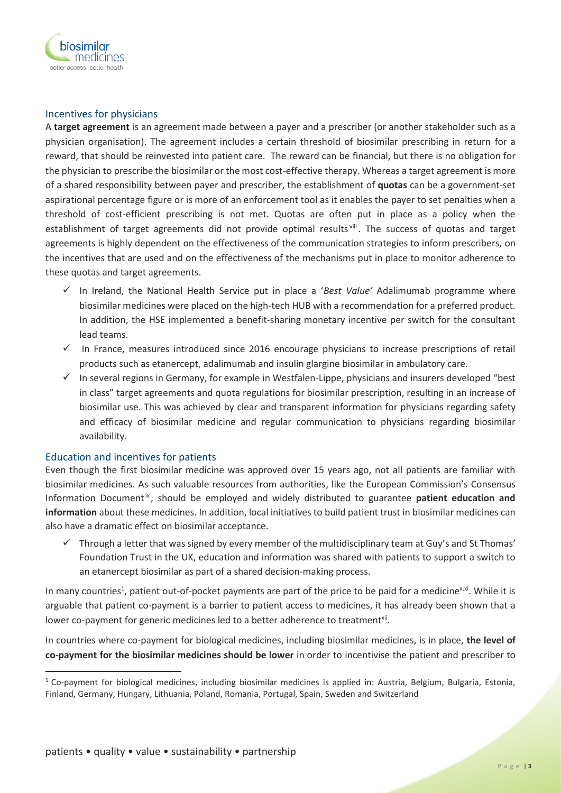

#### Incentives for physicians

A **target agreement** is an agreement made between a payer and a prescriber (or another stakeholder such as a physician organisation). The agreement includes a certain threshold of biosimilar prescribing in return for a reward, that should be reinvested into patient care. The reward can be financial, but there is no obligation for the physician to prescribe the biosimilar or the most cost-effective therapy. Whereas a target agreement is more of a shared responsibility between payer and prescriber, the establishment of **quotas** can be a government-set aspirational percentage figure or is more of an enforcement tool as it enables the payer to set penalties when a threshold of cost-efficient prescribing is not met. Quotas are often put in place as a policy when the establishment of target agreements did not provide optimal results<sup>viii</sup>. The success of quotas and target agreements is highly dependent on the effectiveness of the communication strategies to inform prescribers, on the incentives that are used and on the effectiveness of the mechanisms put in place to monitor adherence to these quotas and target agreements.

- ✓ In Ireland, the National Health Service put in place a '*Best Value'* Adalimumab programme where biosimilar medicines were placed on the high-tech HUB with a recommendation for a preferred product. In addition, the HSE implemented a benefit-sharing monetary incentive per switch for the consultant lead teams.
- ✓ In France, measures introduced since 2016 encourage physicians to increase prescriptions of retail products such as etanercept, adalimumab and insulin glargine biosimilar in ambulatory care.
- $\checkmark$  In several regions in Germany, for example in Westfalen-Lippe, physicians and insurers developed "best in class" target agreements and quota regulations for biosimilar prescription, resulting in an increase of biosimilar use. This was achieved by clear and transparent information for physicians regarding safety and efficacy of biosimilar medicine and regular communication to physicians regarding biosimilar availability.

#### Education and incentives for patients

Even though the first biosimilar medicine was approved over 15 years ago, not all patients are familiar with biosimilar medicines. As such valuable resources from authorities, like the European Commission's Consensus Information Document<sup>ix</sup>, should be employed and widely distributed to guarantee patient education and **information** about these medicines. In addition, local initiatives to build patient trust in biosimilar medicines can also have a dramatic effect on biosimilar acceptance.

 $\checkmark$  Through a letter that was signed by every member of the multidisciplinary team at Guy's and St Thomas' Foundation Trust in the UK, education and information was shared with patients to support a switch to an etanercept biosimilar as part of a shared decision-making process.

In many countries<sup>1</sup>, patient out-of-pocket payments are part of the price to be paid for a medicine<sup>x,xi</sup>. While it is arguable that patient co-payment is a barrier to patient access to medicines, it has already been shown that a lower co-payment for generic medicines led to a better adherence to treatment<sup>xii</sup>.

In countries where co-payment for biological medicines, including biosimilar medicines, is in place, **the level of co-payment for the biosimilar medicines should be lower** in order to incentivise the patient and prescriber to

 $1$  Co-payment for biological medicines, including biosimilar medicines is applied in: Austria, Belgium, Bulgaria, Estonia, Finland, Germany, Hungary, Lithuania, Poland, Romania, Portugal, Spain, Sweden and Switzerland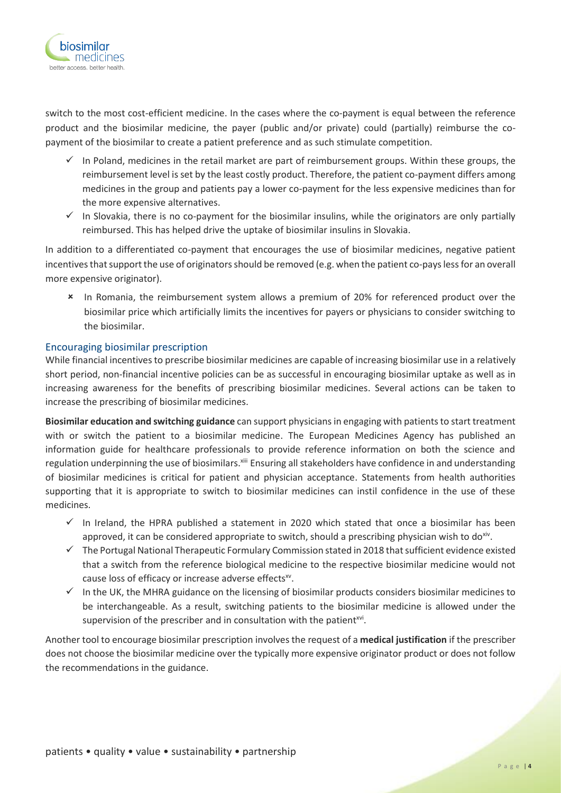

switch to the most cost-efficient medicine. In the cases where the co-payment is equal between the reference product and the biosimilar medicine, the payer (public and/or private) could (partially) reimburse the copayment of the biosimilar to create a patient preference and as such stimulate competition.

- $\checkmark$  In Poland, medicines in the retail market are part of reimbursement groups. Within these groups, the reimbursement level is set by the least costly product. Therefore, the patient co-payment differs among medicines in the group and patients pay a lower co-payment for the less expensive medicines than for the more expensive alternatives.
- $\checkmark$  In Slovakia, there is no co-payment for the biosimilar insulins, while the originators are only partially reimbursed. This has helped drive the uptake of biosimilar insulins in Slovakia.

In addition to a differentiated co-payment that encourages the use of biosimilar medicines, negative patient incentives that support the use of originators should be removed (e.g. when the patient co-pays less for an overall more expensive originator).

\* In Romania, the reimbursement system allows a premium of 20% for referenced product over the biosimilar price which artificially limits the incentives for payers or physicians to consider switching to the biosimilar.

#### Encouraging biosimilar prescription

While financial incentives to prescribe biosimilar medicines are capable of increasing biosimilar use in a relatively short period, non-financial incentive policies can be as successful in encouraging biosimilar uptake as well as in increasing awareness for the benefits of prescribing biosimilar medicines. Several actions can be taken to increase the prescribing of biosimilar medicines.

**Biosimilar education and switching guidance** can support physicians in engaging with patients to start treatment with or switch the patient to a biosimilar medicine. The European Medicines Agency has published an information guide for healthcare professionals to provide reference information on both the science and regulation underpinning the use of biosimilars.<sup>xiii</sup> Ensuring all stakeholders have confidence in and understanding of biosimilar medicines is critical for patient and physician acceptance. Statements from health authorities supporting that it is appropriate to switch to biosimilar medicines can instil confidence in the use of these medicines.

- $\checkmark$  In Ireland, the HPRA published a statement in 2020 which stated that once a biosimilar has been approved, it can be considered appropriate to switch, should a prescribing physician wish to do<sup>xiv</sup>.
- ✓ The Portugal National Therapeutic Formulary Commission stated in 2018 that sufficient evidence existed that a switch from the reference biological medicine to the respective biosimilar medicine would not cause loss of efficacy or increase adverse effects<sup>xv</sup>.
- $\checkmark$  In the UK, the MHRA guidance on the licensing of biosimilar products considers biosimilar medicines to be interchangeable. As a result, switching patients to the biosimilar medicine is allowed under the supervision of the prescriber and in consultation with the patient<sup>xvi</sup>.

Another tool to encourage biosimilar prescription involves the request of a **medical justification** if the prescriber does not choose the biosimilar medicine over the typically more expensive originator product or does not follow the recommendations in the guidance.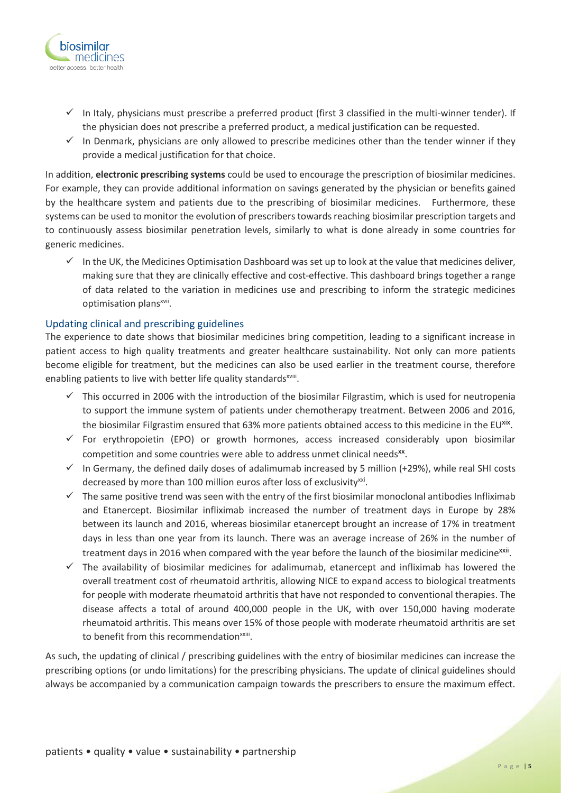

- $\checkmark$  In Italy, physicians must prescribe a preferred product (first 3 classified in the multi-winner tender). If the physician does not prescribe a preferred product, a medical justification can be requested.
- $\checkmark$  In Denmark, physicians are only allowed to prescribe medicines other than the tender winner if they provide a medical justification for that choice.

In addition, **electronic prescribing systems** could be used to encourage the prescription of biosimilar medicines. For example, they can provide additional information on savings generated by the physician or benefits gained by the healthcare system and patients due to the prescribing of biosimilar medicines. Furthermore, these systems can be used to monitor the evolution of prescribers towards reaching biosimilar prescription targets and to continuously assess biosimilar penetration levels, similarly to what is done already in some countries for generic medicines.

 $\checkmark$  In the UK, the Medicines Optimisation Dashboard was set up to look at the value that medicines deliver, making sure that they are clinically effective and cost-effective. This dashboard brings together a range of data related to the variation in medicines use and prescribing to inform the strategic medicines optimisation plans<sup>xvii</sup>.

#### Updating clinical and prescribing guidelines

The experience to date shows that biosimilar medicines bring competition, leading to a significant increase in patient access to high quality treatments and greater healthcare sustainability. Not only can more patients become eligible for treatment, but the medicines can also be used earlier in the treatment course, therefore enabling patients to live with better life quality standards<sup>xviii</sup>.

- $\checkmark$  This occurred in 2006 with the introduction of the biosimilar Filgrastim, which is used for neutropenia to support the immune system of patients under chemotherapy treatment. Between 2006 and 2016, the biosimilar Filgrastim ensured that 63% more patients obtained access to this medicine in the EU<sup>xix</sup>.
- $\checkmark$  For erythropoietin (EPO) or growth hormones, access increased considerably upon biosimilar competition and some countries were able to address unmet clinical needs<sup>xx</sup>.
- ✓ In Germany, the defined daily doses of adalimumab increased by 5 million (+29%), while real SHI costs decreased by more than 100 million euros after loss of exclusivity<sup>xxi</sup>.
- $\checkmark$  The same positive trend was seen with the entry of the first biosimilar monoclonal antibodies Infliximab and Etanercept. Biosimilar infliximab increased the number of treatment days in Europe by 28% between its launch and 2016, whereas biosimilar etanercept brought an increase of 17% in treatment days in less than one year from its launch. There was an average increase of 26% in the number of treatment days in 2016 when compared with the year before the launch of the biosimilar medicine<sup>xxii</sup>.
- $\checkmark$  The availability of biosimilar medicines for adalimumab, etanercept and infliximab has lowered the overall treatment cost of rheumatoid arthritis, allowing NICE to expand access to biological treatments for people with moderate rheumatoid arthritis that have not responded to conventional therapies. The disease affects a total of around 400,000 people in the UK, with over 150,000 having moderate rheumatoid arthritis. This means over 15% of those people with moderate rheumatoid arthritis are set to benefit from this recommendation<sup>xxiii</sup>.

As such, the updating of clinical / prescribing guidelines with the entry of biosimilar medicines can increase the prescribing options (or undo limitations) for the prescribing physicians. The update of clinical guidelines should always be accompanied by a communication campaign towards the prescribers to ensure the maximum effect.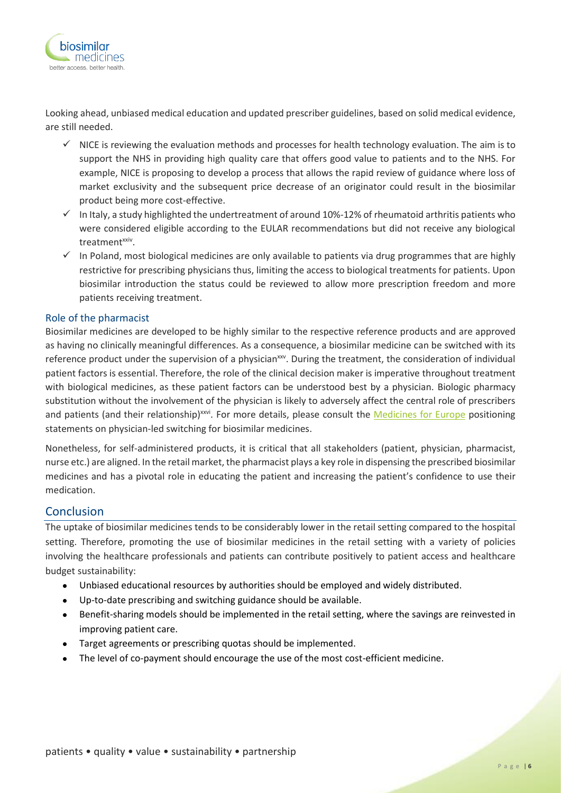

Looking ahead, unbiased medical education and updated prescriber guidelines, based on solid medical evidence, are still needed.

- $\checkmark$  NICE is reviewing the evaluation methods and processes for health technology evaluation. The aim is to support the NHS in providing high quality care that offers good value to patients and to the NHS. For example, NICE is proposing to develop a process that allows the rapid review of guidance where loss of market exclusivity and the subsequent price decrease of an originator could result in the biosimilar product being more cost-effective.
- $\checkmark$  In Italy, a study highlighted the undertreatment of around 10%-12% of rheumatoid arthritis patients who were considered eligible according to the EULAR recommendations but did not receive any biological treatment<sup>xxiv</sup>.
- $\checkmark$  In Poland, most biological medicines are only available to patients via drug programmes that are highly restrictive for prescribing physicians thus, limiting the access to biological treatments for patients. Upon biosimilar introduction the status could be reviewed to allow more prescription freedom and more patients receiving treatment.

#### Role of the pharmacist

Biosimilar medicines are developed to be highly similar to the respective reference products and are approved as having no clinically meaningful differences. As a consequence, a biosimilar medicine can be switched with its reference product under the supervision of a physician<sup>xxv</sup>. During the treatment, the consideration of individual patient factors is essential. Therefore, the role of the clinical decision maker is imperative throughout treatment with biological medicines, as these patient factors can be understood best by a physician. Biologic pharmacy substitution without the involvement of the physician is likely to adversely affect the central role of prescribers and patients (and their relationship)<sup>xxvi</sup>. For more details, please consult the **Medicines for Europe** positioning statements on physician-led switching for biosimilar medicines.

Nonetheless, for self-administered products, it is critical that all stakeholders (patient, physician, pharmacist, nurse etc.) are aligned. In the retail market, the pharmacist plays a key role in dispensing the prescribed biosimilar medicines and has a pivotal role in educating the patient and increasing the patient's confidence to use their medication.

#### Conclusion

The uptake of biosimilar medicines tends to be considerably lower in the retail setting compared to the hospital setting. Therefore, promoting the use of biosimilar medicines in the retail setting with a variety of policies involving the healthcare professionals and patients can contribute positively to patient access and healthcare budget sustainability:

- Unbiased educational resources by authorities should be employed and widely distributed.
- Up-to-date prescribing and switching guidance should be available.
- Benefit-sharing models should be implemented in the retail setting, where the savings are reinvested in improving patient care.
- Target agreements or prescribing quotas should be implemented.
- The level of co-payment should encourage the use of the most cost-efficient medicine.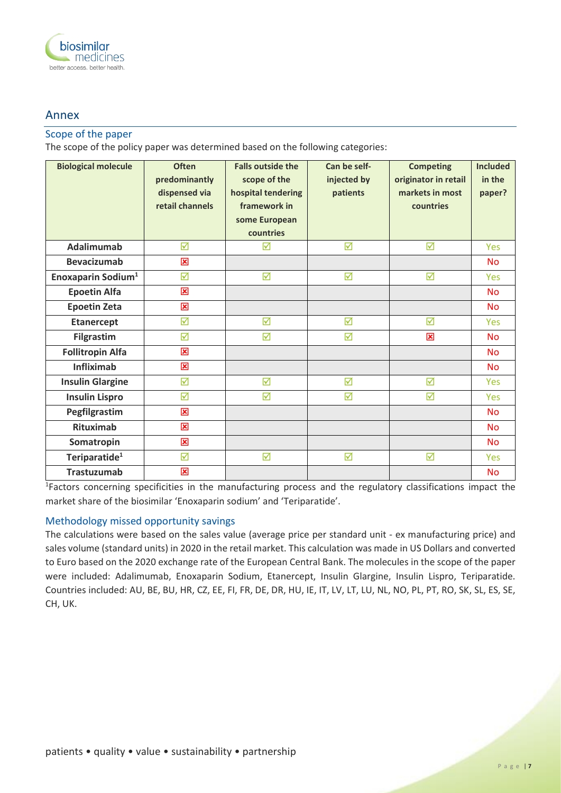

### Annex

#### Scope of the paper

The scope of the policy paper was determined based on the following categories:

| <b>Biological molecule</b>     | <b>Often</b><br>predominantly<br>dispensed via<br>retail channels | <b>Falls outside the</b><br>scope of the<br>hospital tendering<br>framework in<br>some European<br>countries | Can be self-<br>injected by<br>patients | <b>Competing</b><br>originator in retail<br>markets in most<br>countries | <b>Included</b><br>in the<br>paper? |
|--------------------------------|-------------------------------------------------------------------|--------------------------------------------------------------------------------------------------------------|-----------------------------------------|--------------------------------------------------------------------------|-------------------------------------|
| <b>Adalimumab</b>              | ☑                                                                 | ☑                                                                                                            | ☑                                       | ☑                                                                        | Yes                                 |
| <b>Bevacizumab</b>             | 図                                                                 |                                                                                                              |                                         |                                                                          | <b>No</b>                           |
| Enoxaparin Sodium <sup>1</sup> | ☑                                                                 | ☑                                                                                                            | ☑                                       | ☑                                                                        | Yes                                 |
| <b>Epoetin Alfa</b>            | 図                                                                 |                                                                                                              |                                         |                                                                          | <b>No</b>                           |
| <b>Epoetin Zeta</b>            | 図                                                                 |                                                                                                              |                                         |                                                                          | <b>No</b>                           |
| <b>Etanercept</b>              | ☑                                                                 | $\triangledown$                                                                                              | ☑                                       | ☑                                                                        | Yes                                 |
| <b>Filgrastim</b>              | ☑                                                                 | ☑                                                                                                            | ☑                                       | 図                                                                        | <b>No</b>                           |
| <b>Follitropin Alfa</b>        | 図                                                                 |                                                                                                              |                                         |                                                                          | <b>No</b>                           |
| <b>Infliximab</b>              | 図                                                                 |                                                                                                              |                                         |                                                                          | <b>No</b>                           |
| <b>Insulin Glargine</b>        | ☑                                                                 | ☑                                                                                                            | ☑                                       | ☑                                                                        | Yes                                 |
| <b>Insulin Lispro</b>          | ☑                                                                 | ☑                                                                                                            | ☑                                       | ☑                                                                        | Yes                                 |
| Pegfilgrastim                  | 図                                                                 |                                                                                                              |                                         |                                                                          | <b>No</b>                           |
| <b>Rituximab</b>               | 図                                                                 |                                                                                                              |                                         |                                                                          | <b>No</b>                           |
| Somatropin                     | 図                                                                 |                                                                                                              |                                         |                                                                          | <b>No</b>                           |
| Teriparatide <sup>1</sup>      | ☑                                                                 | ☑                                                                                                            | ☑                                       | ☑                                                                        | <b>Yes</b>                          |
| <b>Trastuzumab</b>             | 図                                                                 |                                                                                                              |                                         |                                                                          | <b>No</b>                           |

<sup>1</sup>Factors concerning specificities in the manufacturing process and the regulatory classifications impact the market share of the biosimilar 'Enoxaparin sodium' and 'Teriparatide'.

#### Methodology missed opportunity savings

The calculations were based on the sales value (average price per standard unit - ex manufacturing price) and sales volume (standard units) in 2020 in the retail market. This calculation was made in US Dollars and converted to Euro based on the 2020 exchange rate of the European Central Bank. The molecules in the scope of the paper were included: Adalimumab, Enoxaparin Sodium, Etanercept, Insulin Glargine, Insulin Lispro, Teriparatide. Countries included: AU, BE, BU, HR, CZ, EE, FI, FR, DE, DR, HU, IE, IT, LV, LT, LU, NL, NO, PL, PT, RO, SK, SL, ES, SE, CH, UK.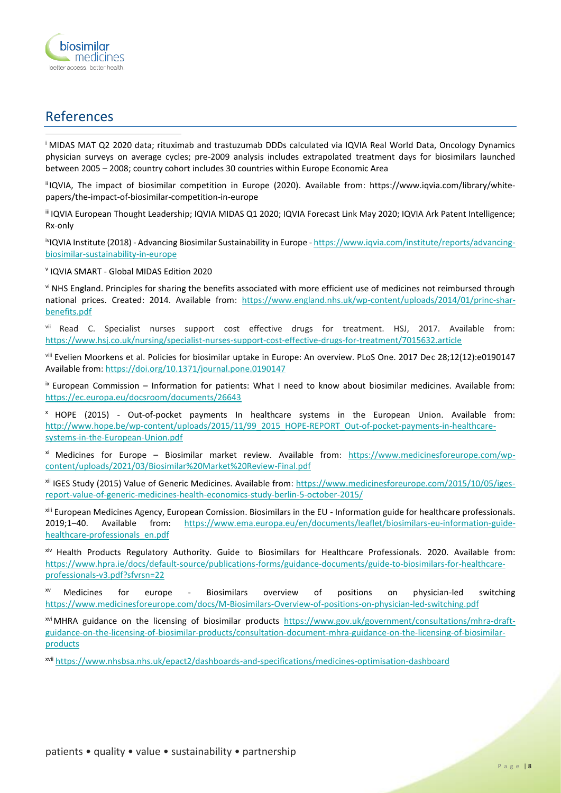

# References

<sup>i</sup> MIDAS MAT Q2 2020 data; rituximab and trastuzumab DDDs calculated via IQVIA Real World Data, Oncology Dynamics physician surveys on average cycles; pre-2009 analysis includes extrapolated treatment days for biosimilars launched between 2005 – 2008; country cohort includes 30 countries within Europe Economic Area

iiIQVIA, The impact of biosimilar competition in Europe (2020). Available from: https://www.iqvia.com/library/whitepapers/the-impact-of-biosimilar-competition-in-europe

iii IQVIA European Thought Leadership; IQVIA MIDAS Q1 2020; IQVIA Forecast Link May 2020; IQVIA Ark Patent Intelligence; Rx-only

ivIQVIA Institute (2018) - Advancing Biosimilar Sustainability in Europe - [https://www.iqvia.com/institute/reports/advancing](https://www.iqvia.com/institute/reports/advancing-biosimilar-sustainability-in-europe)[biosimilar-sustainability-in-europe](https://www.iqvia.com/institute/reports/advancing-biosimilar-sustainability-in-europe)

v IQVIA SMART - Global MIDAS Edition 2020

vi NHS England. Principles for sharing the benefits associated with more efficient use of medicines not reimbursed through national prices. Created: 2014. Available from: [https://www.england.nhs.uk/wp-content/uploads/2014/01/princ-shar](https://www.england.nhs.uk/wp-content/uploads/2014/01/princ-shar-benefits.pdf)[benefits.pdf](https://www.england.nhs.uk/wp-content/uploads/2014/01/princ-shar-benefits.pdf)

vii Read C. Specialist nurses support cost effective drugs for treatment. HSJ, 2017. Available from: <https://www.hsj.co.uk/nursing/specialist-nurses-support-cost-effective-drugs-for-treatment/7015632.article>

viii Evelien Moorkens et al. Policies for biosimilar uptake in Europe: An overview. PLoS One. 2017 Dec 28;12(12):e0190147 Available from:<https://doi.org/10.1371/journal.pone.0190147>

 $i<sup>x</sup>$  European Commission – Information for patients: What I need to know about biosimilar medicines. Available from: <https://ec.europa.eu/docsroom/documents/26643>

<sup>x</sup> HOPE (2015) - Out-of-pocket payments In healthcare systems in the European Union. Available from: [http://www.hope.be/wp-content/uploads/2015/11/99\\_2015\\_HOPE-REPORT\\_Out-of-pocket-payments-in-healthcare](http://www.hope.be/wp-content/uploads/2015/11/99_2015_HOPE-REPORT_Out-of-pocket-payments-in-healthcare-systems-in-the-European-Union.pdf)[systems-in-the-European-Union.pdf](http://www.hope.be/wp-content/uploads/2015/11/99_2015_HOPE-REPORT_Out-of-pocket-payments-in-healthcare-systems-in-the-European-Union.pdf)

xi Medicines for Europe – Biosimilar market review. Available from: [https://www.medicinesforeurope.com/wp](https://www.medicinesforeurope.com/wp-content/uploads/2021/03/Biosimilar%20Market%20Review-Final.pdf)[content/uploads/2021/03/Biosimilar%20Market%20Review-Final.pdf](https://www.medicinesforeurope.com/wp-content/uploads/2021/03/Biosimilar%20Market%20Review-Final.pdf)

xii IGES Study (2015) Value of Generic Medicines. Available from: [https://www.medicinesforeurope.com/2015/10/05/iges](https://www.medicinesforeurope.com/2015/10/05/iges-report-value-of-generic-medicines-health-economics-study-berlin-5-october-2015/)[report-value-of-generic-medicines-health-economics-study-berlin-5-october-2015/](https://www.medicinesforeurope.com/2015/10/05/iges-report-value-of-generic-medicines-health-economics-study-berlin-5-october-2015/)

xiii European Medicines Agency, European Comission. Biosimilars in the EU - Information guide for healthcare professionals. 2019;1–40. Available from: [https://www.ema.europa.eu/en/documents/leaflet/biosimilars-eu-information-guide](https://www.ema.europa.eu/en/documents/leaflet/biosimilars-eu-information-guide-healthcare-professionals_en.pdf)[healthcare-professionals\\_en.pdf](https://www.ema.europa.eu/en/documents/leaflet/biosimilars-eu-information-guide-healthcare-professionals_en.pdf)

xiv Health Products Regulatory Authority. Guide to Biosimilars for Healthcare Professionals. 2020. Available from: [https://www.hpra.ie/docs/default-source/publications-forms/guidance-documents/guide-to-biosimilars-for-healthcare](https://www.hpra.ie/docs/default-source/publications-forms/guidance-documents/guide-to-biosimilars-for-healthcare-professionals-v3.pdf?sfvrsn=22)[professionals-v3.pdf?sfvrsn=22](https://www.hpra.ie/docs/default-source/publications-forms/guidance-documents/guide-to-biosimilars-for-healthcare-professionals-v3.pdf?sfvrsn=22)

xv Medicines for europe - Biosimilars overview of positions on physician-led switching <https://www.medicinesforeurope.com/docs/M-Biosimilars-Overview-of-positions-on-physician-led-switching.pdf>

xvi MHRA guidance on the licensing of biosimilar products [https://www.gov.uk/government/consultations/mhra-draft](https://www.gov.uk/government/consultations/mhra-draft-guidance-on-the-licensing-of-biosimilar-products/consultation-document-mhra-guidance-on-the-licensing-of-biosimilar-products)[guidance-on-the-licensing-of-biosimilar-products/consultation-document-mhra-guidance-on-the-licensing-of-biosimilar](https://www.gov.uk/government/consultations/mhra-draft-guidance-on-the-licensing-of-biosimilar-products/consultation-document-mhra-guidance-on-the-licensing-of-biosimilar-products)[products](https://www.gov.uk/government/consultations/mhra-draft-guidance-on-the-licensing-of-biosimilar-products/consultation-document-mhra-guidance-on-the-licensing-of-biosimilar-products)

xvii <https://www.nhsbsa.nhs.uk/epact2/dashboards-and-specifications/medicines-optimisation-dashboard>